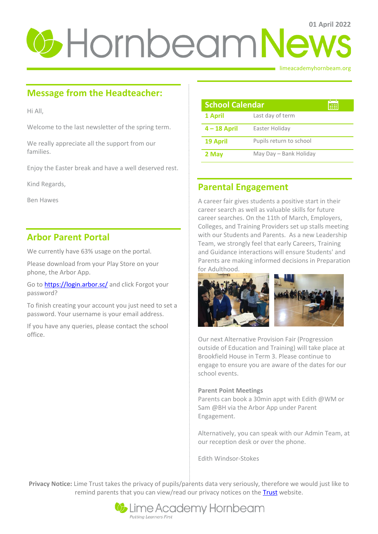# **0 Hornbeam News**

limeacademyhornbeam.org

# **Message from the Headteacher:**

Hi All,

Welcome to the last newsletter of the spring term.

We really appreciate all the support from our families.

Enjoy the Easter break and have a well deserved rest.

Kind Regards,

Ben Hawes

## **Arbor Parent Portal**

We currently have 63% usage on the portal.

Please download from your Play Store on your phone, the Arbor App.

Go t[o https://login.arbor.sc/](https://login.arbor.sc/) and click Forgot your password?

To finish creating your account you just need to set a password. Your username is your email address.

If you have any queries, please contact the school office.

| <b>School Calendar</b> |                         |  |
|------------------------|-------------------------|--|
| 1 April                | Last day of term        |  |
| $4 - 18$ April         | Easter Holiday          |  |
| <b>19 April</b>        | Pupils return to school |  |
| 2 May                  | May Day - Bank Holiday  |  |

# **Parental Engagement**

A career fair gives students a positive start in their career search as well as valuable skills for future career searches. On the 11th of March, Employers, Colleges, and Training Providers set up stalls meeting with our Students and Parents. As a new Leadership Team, we strongly feel that early Careers, Training and Guidance interactions will ensure Students' and Parents are making informed decisions in Preparation for Adulthood.



Our next Alternative Provision Fair (Progression outside of Education and Training) will take place at Brookfield House in Term 3. Please continue to engage to ensure you are aware of the dates for our school events.

### **Parent Point Meetings**

Parents can book a 30min appt with Edith @WM or Sam @BH via the Arbor App under Parent Engagement.

Alternatively, you can speak with our Admin Team, at our reception desk or over the phone.

Edith Windsor-Stokes

**Privacy Notice:** Lime Trust takes the privacy of pupils/parents data very seriously, therefore we would just like to remind parents that you can view/read our privacy notices on the [Trust](http://limetrust.org/lime-trust-information/policies/) website.

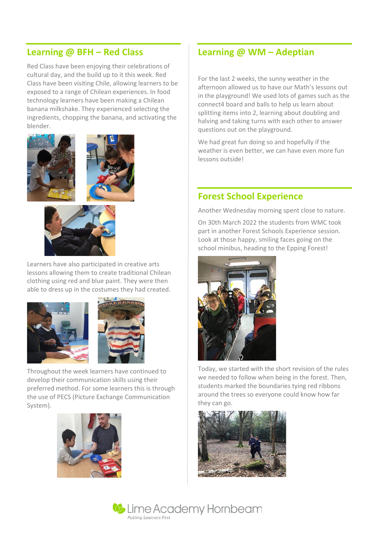# **Learning @ BFH – Red Class**

Red Class have been enjoying their celebrations of cultural day, and the build up to it this week. Red Class have been visiting Chile, allowing learners to be exposed to a range of Chilean experiences. In food technology learners have been making a Chilean banana milkshake. They experienced selecting the ingredients, chopping the banana, and activating the blender.



Learners have also participated in creative arts lessons allowing them to create traditional Chilean clothing using red and blue paint. They were then able to dress up in the costumes they had created.





Throughout the week learners have continued to develop their communication skills using their preferred method. For some learners this is through the use of PECS (Picture Exchange Communication System).



# **Learning @ WM – Adeptian**

For the last 2 weeks, the sunny weather in the afternoon allowed us to have our Math's lessons out in the playground! We used lots of games such as the connect4 board and balls to help us learn about splitting items into 2, learning about doubling and halving and taking turns with each other to answer questions out on the playground.

We had great fun doing so and hopefully if the weather is even better, we can have even more fun lessons outside!

# **Forest School Experience**

Another Wednesday morning spent close to nature.

On 30th March 2022 the students from WMC took part in another Forest Schools Experience session. Look at those happy, smiling faces going on the school minibus, heading to the Epping Forest!



Today, we started with the short revision of the rules we needed to follow when being in the forest. Then, students marked the boundaries tying red ribbons around the trees so everyone could know how far they can go.